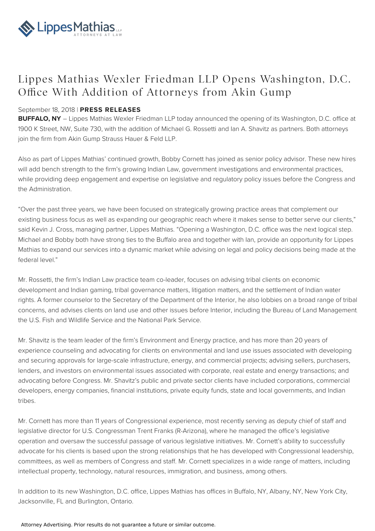

## Lippes Mathias Wexler Friedman LLP Opens Washington, D.C. Office With Addition of Attorneys from Akin Gump

## September 18, 2018 | **PRESS RELEASES**

**BUFFALO, NY** – Lippes Mathias Wexler Friedman LLP today announced the opening of its Washington, D.C. office at 1900 K Street, NW, Suite 730, with the addition of Michael G. Rossetti and Ian A. Shavitz as partners. Both attorneys join the firm from Akin Gump Strauss Hauer & Feld LLP.

Also as part of Lippes Mathias' continued growth, Bobby Cornett has joined as senior policy advisor. These new hires will add bench strength to the firm's growing Indian Law, government investigations and environmental practices, while providing deep engagement and expertise on legislative and regulatory policy issues before the Congress and the Administration.

"Over the past three years, we have been focused on strategically growing practice areas that complement our existing business focus as well as expanding our geographic reach where it makes sense to better serve our clients," said Kevin J. Cross, managing partner, Lippes Mathias. "Opening a Washington, D.C. office was the next logical step. Michael and Bobby both have strong ties to the Buffalo area and together with Ian, provide an opportunity for Lippes Mathias to expand our services into a dynamic market while advising on legal and policy decisions being made at the federal level."

Mr. Rossetti, the firm's Indian Law practice team co-leader, focuses on advising tribal clients on economic development and Indian gaming, tribal governance matters, litigation matters, and the settlement of Indian water rights. A former counselor to the Secretary of the Department of the Interior, he also lobbies on a broad range of tribal concerns, and advises clients on land use and other issues before Interior, including the Bureau of Land Management, the U.S. Fish and Wildlife Service and the National Park Service.

Mr. Shavitz is the team leader of the firm's Environment and Energy practice, and has more than 20 years of experience counseling and advocating for clients on environmental and land use issues associated with developing and securing approvals for large-scale infrastructure, energy, and commercial projects; advising sellers, purchasers, lenders, and investors on environmental issues associated with corporate, real estate and energy transactions; and advocating before Congress. Mr. Shavitz's public and private sector clients have included corporations, commercial developers, energy companies, financial institutions, private equity funds, state and local governments, and Indian tribes.

Mr. Cornett has more than 11 years of Congressional experience, most recently serving as deputy chief of staff and legislative director for U.S. Congressman Trent Franks (R-Arizona), where he managed the office's legislative operation and oversaw the successful passage of various legislative initiatives. Mr. Cornett's ability to successfully advocate for his clients is based upon the strong relationships that he has developed with Congressional leadership, committees, as well as members of Congress and staff. Mr. Cornett specializes in a wide range of matters, including intellectual property, technology, natural resources, immigration, and business, among others.

In addition to its new Washington, D.C. office, Lippes Mathias has offices in Buffalo, NY, Albany, NY, New York City, Jacksonville, FL and Burlington, Ontario.

Attorney Advertising. Prior results do not guarantee a future or similar outcome.